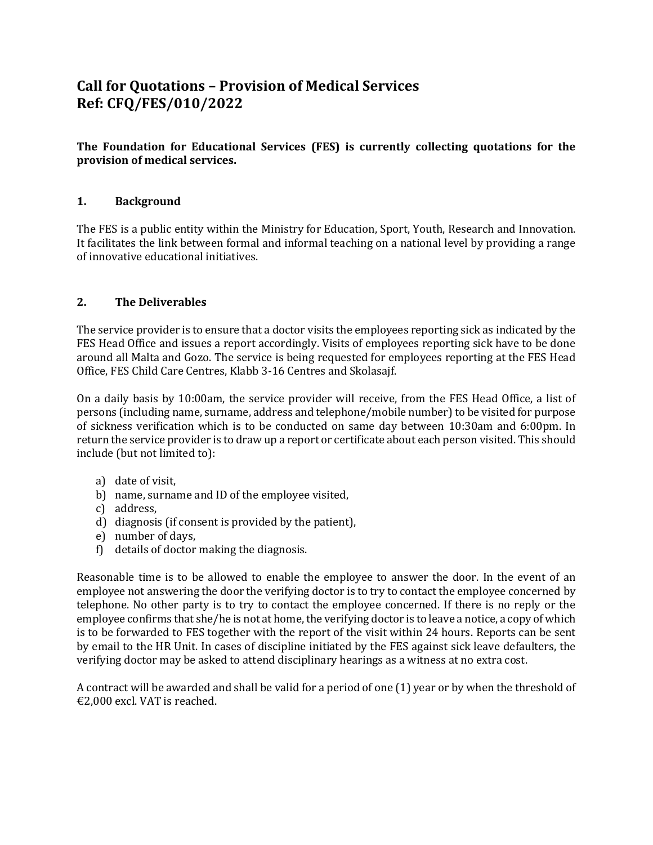## **Call for Quotations – Provision of Medical Services Ref: CFQ/FES/010/2022**

**The Foundation for Educational Services (FES) is currently collecting quotations for the provision of medical services.**

## **1. Background**

The FES is a public entity within the Ministry for Education, Sport, Youth, Research and Innovation. It facilitates the link between formal and informal teaching on a national level by providing a range of innovative educational initiatives.

## **2. The Deliverables**

The service provider is to ensure that a doctor visits the employees reporting sick as indicated by the FES Head Office and issues a report accordingly. Visits of employees reporting sick have to be done around all Malta and Gozo. The service is being requested for employees reporting at the FES Head Office, FES Child Care Centres, Klabb 3-16 Centres and Skolasajf.

On a daily basis by 10:00am, the service provider will receive, from the FES Head Office, a list of persons (including name, surname, address and telephone/mobile number) to be visited for purpose of sickness verification which is to be conducted on same day between 10:30am and 6:00pm. In return the service provider is to draw up a report or certificate about each person visited. This should include (but not limited to):

- a) date of visit,
- b) name, surname and ID of the employee visited,
- c) address,
- d) diagnosis (if consent is provided by the patient),
- e) number of days,
- f) details of doctor making the diagnosis.

Reasonable time is to be allowed to enable the employee to answer the door. In the event of an employee not answering the door the verifying doctor is to try to contact the employee concerned by telephone. No other party is to try to contact the employee concerned. If there is no reply or the employee confirms that she/he is not at home, the verifying doctor is to leave a notice, a copy of which is to be forwarded to FES together with the report of the visit within 24 hours. Reports can be sent by email to the HR Unit. In cases of discipline initiated by the FES against sick leave defaulters, the verifying doctor may be asked to attend disciplinary hearings as a witness at no extra cost.

A contract will be awarded and shall be valid for a period of one (1) year or by when the threshold of €2,000 excl. VAT is reached.